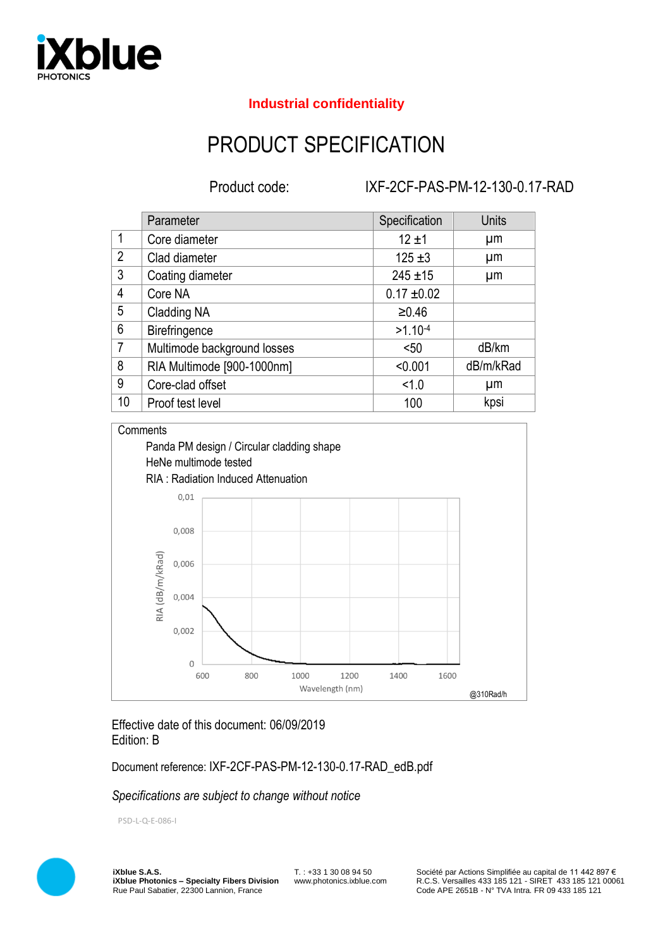

# **Industrial confidentiality**

# PRODUCT SPECIFICATION

Product code: IXF-2CF-PAS-PM-12-130-0.17-RAD

|                | Parameter                   | Specification   | <b>Units</b> |
|----------------|-----------------------------|-----------------|--------------|
| $\mathbf 1$    | Core diameter               | $12 + 1$        | μm           |
| $\overline{2}$ | Clad diameter               | $125 + 3$       | μm           |
| 3              | Coating diameter            | $245 \pm 15$    | μm           |
| 4              | Core NA                     | $0.17 \pm 0.02$ |              |
| 5              | Cladding NA                 | ≥0.46           |              |
| 6              | Birefringence               | $>1.10^{-4}$    |              |
| $\overline{7}$ | Multimode background losses | < 50            | dB/km        |
| 8              | RIA Multimode [900-1000nm]  | < 0.001         | dB/m/kRad    |
| 9              | Core-clad offset            | 1.0             | μm           |
| 10             | Proof test level            | 100             | kpsi         |

#### **Comments**



## Effective date of this document: 06/09/2019 Edition: B

Document reference: IXF-2CF-PAS-PM-12-130-0.17-RAD\_edB.pdf

### *Specifications are subject to change without notice*

PSD-L-Q-E-086-I